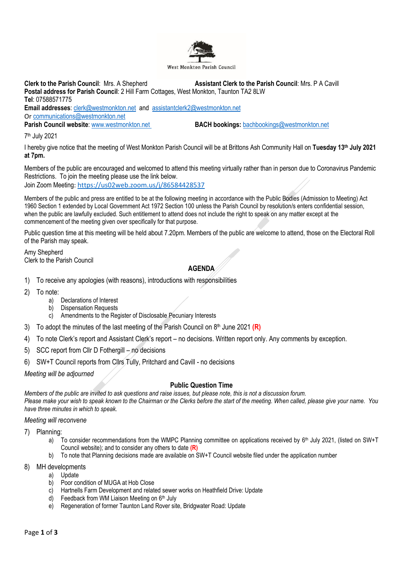

**Clerk to the Parish Council**: Mrs. A Shepherd **Assistant Clerk to the Parish Council**: Mrs. P A Cavill **Postal address for Parish Council**: 2 Hill Farm Cottages, West Monkton, Taunton TA2 8LW **Tel**: 07588571775 **Email addresses**: [clerk@westmonkton.net](mailto:clerk@westmonkton.net) and [assistantclerk2@westmonkton.net](mailto:assistantclerk2@westmonkton.net) Or [communications@westmonkton.net](mailto:communications@westmonkton.net)

**Parish Council website**: [www.westmonkton.net](http://www.westmonkton.net/) **BACH bookings:** [bachbookings@westmonkton.net](mailto:bachbookings@westmonkton.net)

7 th July 2021

I hereby give notice that the meeting of West Monkton Parish Council will be at Brittons Ash Community Hall on **Tuesday 13th July 2021 at 7pm.**

Members of the public are encouraged and welcomed to attend this meeting virtually rather than in person due to Coronavirus Pandemic Restrictions. To join the meeting please use the link below.

Join Zoom Meeting: <https://us02web.zoom.us/j/86584428537>

Members of the public and press are entitled to be at the following meeting in accordance with the Public Bodies (Admission to Meeting) Act 1960 Section 1 extended by Local Government Act 1972 Section 100 unless the Parish Council by resolution/s enters confidential session, when the public are lawfully excluded. Such entitlement to attend does not include the right to speak on any matter except at the commencement of the meeting given over specifically for that purpose.

Public question time at this meeting will be held about 7.20pm. Members of the public are welcome to attend, those on the Electoral Roll of the Parish may speak.

Amy Shepherd Clerk to the Parish Council

## **AGENDA**

- 1) To receive any apologies (with reasons), introductions with responsibilities
- 2) To note:
	- a) Declarations of Interest
	- b) Dispensation Requests
	- c) Amendments to the Register of Disclosable Pecuniary Interests
- 3) To adopt the minutes of the last meeting of the Parish Council on 8 th June 2021 **(R)**
- 4) To note Clerk's report and Assistant Clerk's report no decisions. Written report only. Any comments by exception.
- 5) SCC report from Cllr D Fothergill no decisions
- 6) SW+T Council reports from Cllrs Tully, Pritchard and Cavill no decisions

*Meeting will be adjourned*

## **Public Question Time**

*Members of the public are invited to ask questions and raise issues, but please note, this is not a discussion forum. Please make your wish to speak known to the Chairman or the Clerks before the start of the meeting. When called, please give your name. You have three minutes in which to speak.*

## *Meeting will reconvene*

- 7) Planning:
	- a) To consider recommendations from the WMPC Planning committee on applications received by 6<sup>th</sup> July 2021, (listed on SW+T Council website); and to consider any others to date **(R)**
	- b) To note that Planning decisions made are available on SW+T Council website filed under the application number
- 8) MH developments
	- a) Update
	- b) Poor condition of MUGA at Hob Close
	- c) Hartnells Farm Development and related sewer works on Heathfield Drive: Update
	- d) Feedback from WM Liaison Meeting on  $6<sup>th</sup>$  July
	- e) Regeneration of former Taunton Land Rover site, Bridgwater Road: Update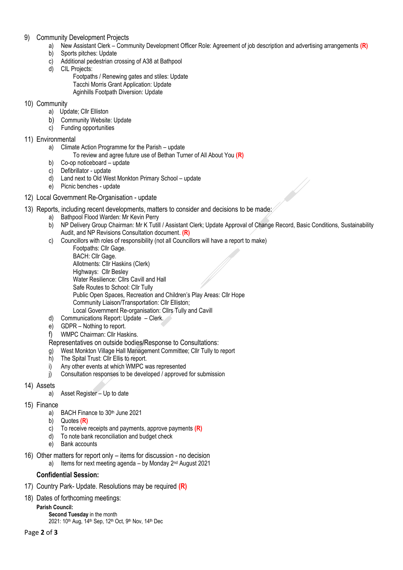- 9) Community Development Projects
	- a) New Assistant Clerk Community Development Officer Role: Agreement of job description and advertising arrangements **(R)**
	- b) Sports pitches: Update
	- c) Additional pedestrian crossing of A38 at Bathpool
	- d) CIL Projects:
		- Footpaths / Renewing gates and stiles: Update Tacchi Morris Grant Application: Update Aginhills Footpath Diversion: Update
- 10) Community
	- a) Update; Cllr Elliston
	- b) Community Website: Update
	- c) Funding opportunities
- 11) Environmental
	- a) Climate Action Programme for the Parish update
		- To review and agree future use of Bethan Turner of All About You **(R)**
	- b) Co-op noticeboard update
	- c) Defibrillator update
	- d) Land next to Old West Monkton Primary School update
	- e) Picnic benches update
- 12) Local Government Re-Organisation update
- 13) Reports, including recent developments, matters to consider and decisions to be made:
	- a) Bathpool Flood Warden: Mr Kevin Perry
	- b) NP Delivery Group Chairman: Mr K Tutill / Assistant Clerk; Update Approval of Change Record, Basic Conditions, Sustainability Audit, and NP Revisions Consultation document. **(R)**
	- c) Councillors with roles of responsibility (not all Councillors will have a report to make)
		- Footpaths: Cllr Gage. BACH: Cllr Gage.
		- Allotments: Cllr Haskins (Clerk) Highways: Cllr Besley Water Resilience: Cllrs Cavill and Hall Safe Routes to School: Cllr Tully Public Open Spaces, Recreation and Children's Play Areas: Cllr Hope Community Liaison/Transportation: Cllr Elliston; Local Government Re-organisation: Cllrs Tully and Cavill
	- d) Communications Report: Update Clerk.
	- e) GDPR Nothing to report.
	- f) WMPC Chairman: Cllr Haskins.
	- Representatives on outside bodies/Response to Consultations:
	- g) West Monkton Village Hall Management Committee; Cllr Tully to report
	- h) The Spital Trust: Cllr Ellis to report.
	- i) Any other events at which WMPC was represented
	- j) Consultation responses to be developed / approved for submission
- 14) Assets
	- a) Asset Register Up to date
- 15) Finance
	- a) BACH Finance to 30<sup>th</sup> June 2021
	- b) Quotes **(R)**
	- c) To receive receipts and payments, approve payments **(R)**
	- d) To note bank reconciliation and budget check
	- e) Bank accounts
- 16) Other matters for report only items for discussion no decision
	- a) Items for next meeting agenda by Monday 2<sup>nd</sup> August 2021

## **Confidential Session:**

- 17) Country Park- Update. Resolutions may be required **(R)**
- 18) Dates of forthcoming meetings:
	- **Parish Council: Second Tuesday** in the month
		- 2021: 10<sup>th</sup> Aug, 14<sup>th</sup> Sep, 12<sup>th</sup> Oct, 9<sup>th</sup> Nov, 14<sup>th</sup> Dec